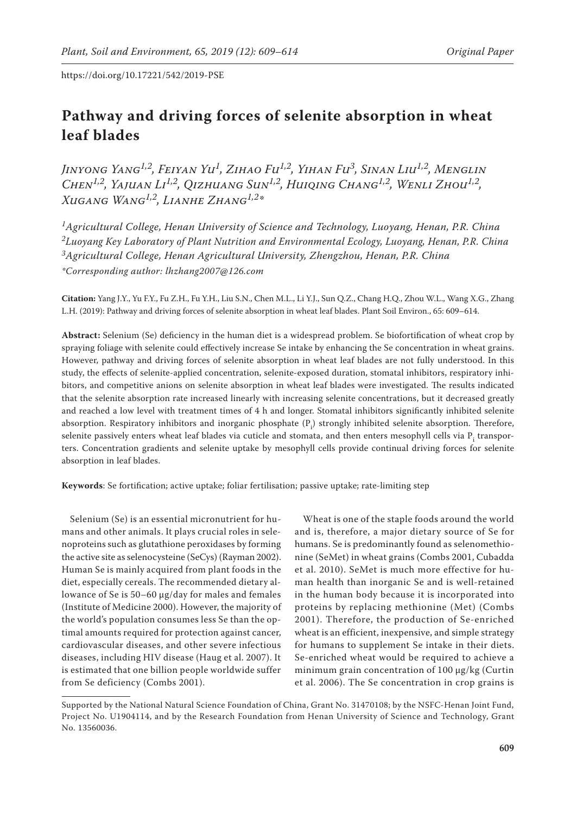# **Pathway and driving forces of selenite absorption in wheat leaf blades**

*Jinyong Yang1,2, Feiyan Yu1, Zihao Fu1,2, Yihan Fu3, Sinan Liu1,2, Menglin Chen1,2, Yajuan Li1,2, Qizhuang Sun1,2, Huiqing Chang1,2, Wenli Zhou1,2, Xugang Wang1,2, Lianhe Zhang1,2\**

*1Agricultural College, Henan University of Science and Technology, Luoyang, Henan, P.R. China 2Luoyang Key Laboratory of Plant Nutrition and Environmental Ecology, Luoyang, Henan, P.R. China 3Agricultural College, Henan Agricultural University, Zhengzhou, Henan, P.R. China \*Corresponding author: lhzhang2007@126.com*

**Citation:** Yang J.Y., Yu F.Y., Fu Z.H., Fu Y.H., Liu S.N., Chen M.L., Li Y.J., Sun Q.Z., Chang H.Q., Zhou W.L., Wang X.G., Zhang L.H. (2019): Pathway and driving forces of selenite absorption in wheat leaf blades. Plant Soil Environ., 65: 609–614.

**Abstract:** Selenium (Se) deficiency in the human diet is a widespread problem. Se biofortification of wheat crop by spraying foliage with selenite could effectively increase Se intake by enhancing the Se concentration in wheat grains. However, pathway and driving forces of selenite absorption in wheat leaf blades are not fully understood. In this study, the effects of selenite-applied concentration, selenite-exposed duration, stomatal inhibitors, respiratory inhibitors, and competitive anions on selenite absorption in wheat leaf blades were investigated. The results indicated that the selenite absorption rate increased linearly with increasing selenite concentrations, but it decreased greatly and reached a low level with treatment times of 4 h and longer. Stomatal inhibitors significantly inhibited selenite absorption. Respiratory inhibitors and inorganic phosphate  $(P_i)$  strongly inhibited selenite absorption. Therefore, selenite passively enters wheat leaf blades via cuticle and stomata, and then enters mesophyll cells via  ${\tt P_i}$  transporters. Concentration gradients and selenite uptake by mesophyll cells provide continual driving forces for selenite absorption in leaf blades.

**Keywords**: Se fortification; active uptake; foliar fertilisation; passive uptake; rate-limiting step

Selenium (Se) is an essential micronutrient for humans and other animals. It plays crucial roles in selenoproteins such as glutathione peroxidases by forming the active site as selenocysteine (SeCys) (Rayman 2002). Human Se is mainly acquired from plant foods in the diet, especially cereals. The recommended dietary allowance of Se is 50–60 µg/day for males and females (Institute of Medicine 2000). However, the majority of the world's population consumes less Se than the optimal amounts required for protection against cancer, cardiovascular diseases, and other severe infectious diseases, including HIV disease (Haug et al. 2007). It is estimated that one billion people worldwide suffer from Se deficiency (Combs 2001).

Wheat is one of the staple foods around the world and is, therefore, a major dietary source of Se for humans. Se is predominantly found as selenomethionine (SeMet) in wheat grains (Combs 2001, Cubadda et al. 2010). SeMet is much more effective for human health than inorganic Se and is well-retained in the human body because it is incorporated into proteins by replacing methionine (Met) (Combs 2001). Therefore, the production of Se-enriched wheat is an efficient, inexpensive, and simple strategy for humans to supplement Se intake in their diets. Se-enriched wheat would be required to achieve a minimum grain concentration of 100 µg/kg (Curtin et al. 2006). The Se concentration in crop grains is

Supported by the National Natural Science Foundation of China, Grant No. 31470108; by the NSFC-Henan Joint Fund, Project No. U1904114, and by the Research Foundation from Henan University of Science and Technology, Grant No. 13560036.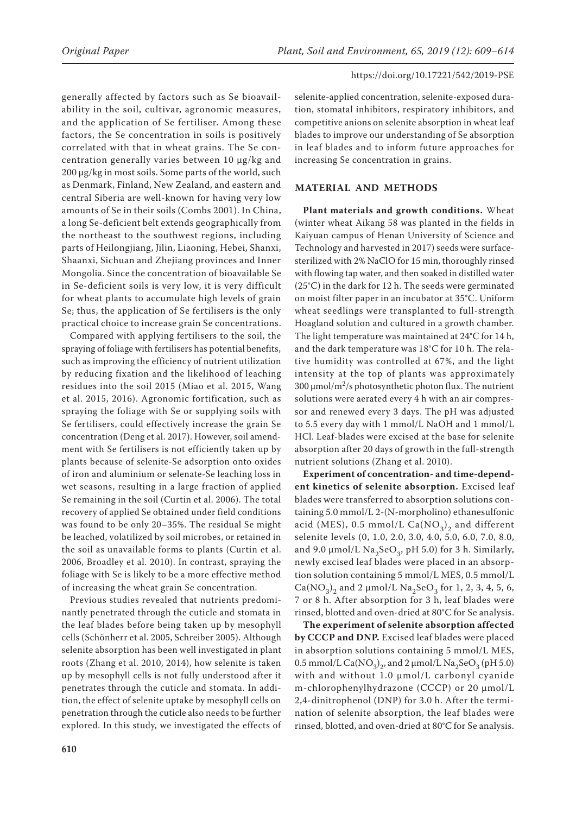generally affected by factors such as Se bioavailability in the soil, cultivar, agronomic measures, and the application of Se fertiliser. Among these factors, the Se concentration in soils is positively correlated with that in wheat grains. The Se concentration generally varies between 10 µg/kg and 200 µg/kg in most soils. Some parts of the world, such as Denmark, Finland, New Zealand, and eastern and central Siberia are well-known for having very low amounts of Se in their soils (Combs 2001). In China, a long Se-deficient belt extends geographically from the northeast to the southwest regions, including parts of Heilongjiang, Jilin, Liaoning, Hebei, Shanxi, Shaanxi, Sichuan and Zhejiang provinces and Inner Mongolia. Since the concentration of bioavailable Se in Se-deficient soils is very low, it is very difficult for wheat plants to accumulate high levels of grain Se; thus, the application of Se fertilisers is the only practical choice to increase grain Se concentrations.

Compared with applying fertilisers to the soil, the spraying of foliage with fertilisers has potential benefits, such as improving the efficiency of nutrient utilization by reducing fixation and the likelihood of leaching residues into the soil 2015 (Miao et al. 2015, Wang et al. 2015, 2016). Agronomic fortification, such as spraying the foliage with Se or supplying soils with Se fertilisers, could effectively increase the grain Se concentration (Deng et al. 2017). However, soil amendment with Se fertilisers is not efficiently taken up by plants because of selenite-Se adsorption onto oxides of iron and aluminium or selenate-Se leaching loss in wet seasons, resulting in a large fraction of applied Se remaining in the soil (Curtin et al. 2006). The total recovery of applied Se obtained under field conditions was found to be only 20–35%. The residual Se might be leached, volatilized by soil microbes, or retained in the soil as unavailable forms to plants (Curtin et al. 2006, Broadley et al. 2010). In contrast, spraying the foliage with Se is likely to be a more effective method of increasing the wheat grain Se concentration.

Previous studies revealed that nutrients predominantly penetrated through the cuticle and stomata in the leaf blades before being taken up by mesophyll cells (Schönherr et al. 2005, Schreiber 2005). Although selenite absorption has been well investigated in plant roots (Zhang et al. 2010, 2014), how selenite is taken up by mesophyll cells is not fully understood after it penetrates through the cuticle and stomata. In addition, the effect of selenite uptake by mesophyll cells on penetration through the cuticle also needs to be further explored. In this study, we investigated the effects of

selenite-applied concentration, selenite-exposed duration, stomatal inhibitors, respiratory inhibitors, and competitive anions on selenite absorption in wheat leaf blades to improve our understanding of Se absorption in leaf blades and to inform future approaches for increasing Se concentration in grains.

# **Material and Methods**

**Plant materials and growth conditions.** Wheat (winter wheat Aikang 58 was planted in the fields in Kaiyuan campus of Henan University of Science and Technology and harvested in 2017) seeds were surfacesterilized with 2% NaClO for 15 min, thoroughly rinsed with flowing tap water, and then soaked in distilled water (25°C) in the dark for 12 h. The seeds were germinated on moist filter paper in an incubator at 35°C. Uniform wheat seedlings were transplanted to full-strength Hoagland solution and cultured in a growth chamber. The light temperature was maintained at 24°C for 14 h, and the dark temperature was 18°C for 10 h. The relative humidity was controlled at 67%, and the light intensity at the top of plants was approximately  $300 \mu$ mol/m<sup>2</sup>/s photosynthetic photon flux. The nutrient solutions were aerated every 4 h with an air compressor and renewed every 3 days. The pH was adjusted to 5.5 every day with 1 mmol/L NaOH and 1 mmol/L HCl. Leaf-blades were excised at the base for selenite absorption after 20 days of growth in the full-strength nutrient solutions (Zhang et al. 2010).

**Experiment of concentration- and time-dependent kinetics of selenite absorption.** Excised leaf blades were transferred to absorption solutions containing 5.0 mmol/L 2-(N-morpholino) ethanesulfonic acid (MES), 0.5 mmol/L  $Ca(NO<sub>3</sub>)<sub>2</sub>$  and different selenite levels (0, 1.0, 2.0, 3.0, 4.0, 5.0, 6.0, 7.0, 8.0, and 9.0  $\mu$ mol/L Na<sub>2</sub>SeO<sub>3</sub>, pH 5.0) for 3 h. Similarly, newly excised leaf blades were placed in an absorption solution containing 5 mmol/L MES, 0.5 mmol/L  $Ca(NO_3)_2$  and 2 µmol/L  $Na_2SeO_3$  for 1, 2, 3, 4, 5, 6, 7 or 8 h. After absorption for 3 h, leaf blades were rinsed, blotted and oven-dried at 80°C for Se analysis.

**The experiment of selenite absorption affected by CCCP and DNP.** Excised leaf blades were placed in absorption solutions containing 5 mmol/L MES, 0.5 mmol/L Ca( $NO_3$ )<sub>2</sub>, and 2 μmol/L  $Na_2SeO_3$  (pH 5.0) with and without 1.0 µmol/L carbonyl cyanide m-chlorophenylhydrazone (CCCP) or 20 µmol/L 2,4-dinitrophenol (DNP) for 3.0 h. After the termination of selenite absorption, the leaf blades were rinsed, blotted, and oven-dried at 80°C for Se analysis.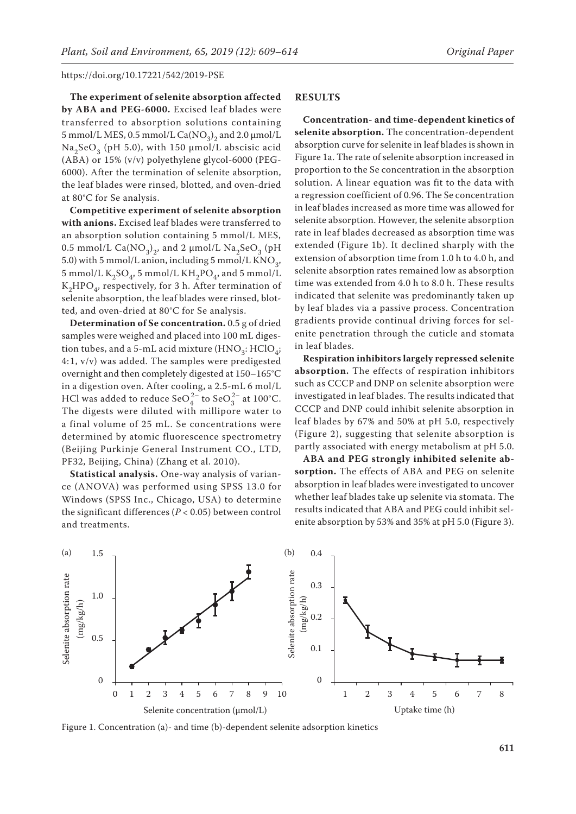**The experiment of selenite absorption affected by ABA and PEG-6000.** Excised leaf blades were transferred to absorption solutions containing 5 mmol/L MES, 0.5 mmol/L Ca( $\text{NO}_3$ )<sub>2</sub> and 2.0 µmol/L  $\text{Na}_2\text{SeO}_3$  (pH 5.0), with 150 µmol/L abscisic acid (ABA) or 15% (v/v) polyethylene glycol-6000 (PEG-6000). After the termination of selenite absorption, the leaf blades were rinsed, blotted, and oven-dried at 80°C for Se analysis.

**Competitive experiment of selenite absorption with anions.** Excised leaf blades were transferred to an absorption solution containing 5 mmol/L MES, 0.5 mmol/L Ca(NO<sub>3</sub>)<sub>2</sub>, and 2  $\mu$ mol/L Na<sub>2</sub>SeO<sub>3</sub> (pH) 5.0) with 5 mmol/L anion, including 5 mmol/L  $\text{KNO}_3$ , 5 mmol/L  $K_2SO_4$ , 5 mmol/L  $KH_2PO_4$ , and 5 mmol/L  $K<sub>2</sub>HPO<sub>A</sub>$ , respectively, for 3 h. After termination of selenite absorption, the leaf blades were rinsed, blotted, and oven-dried at 80°C for Se analysis.

**Determination of Se concentration.** 0.5 g of dried samples were weighed and placed into 100 mL digestion tubes, and a 5-mL acid mixture (HNO<sub>3</sub>: HClO<sub>4</sub>; 4:1, v/v) was added. The samples were predigested overnight and then completely digested at 150–165°C in a digestion oven. After cooling, a 2.5-mL 6 mol/L HCl was added to reduce SeO $_4^{2-}$  to SeO $_3^{2-}$  at 100°C. The digests were diluted with millipore water to a final volume of 25 mL. Se concentrations were determined by atomic fluorescence spectrometry (Beijing Purkinje General Instrument CO., LTD, PF32, Beijing, China) (Zhang et al. 2010).

**Statistical analysis.** One-way analysis of variance (ANOVA) was performed using SPSS 13.0 for Windows (SPSS Inc., Chicago, USA) to determine the significant differences (*P* < 0.05) between control and treatments.

#### **RESULTS**

**Concentration- and time-dependent kinetics of selenite absorption.** The concentration-dependent absorption curve for selenite in leaf blades is shown in Figure 1a. The rate of selenite absorption increased in proportion to the Se concentration in the absorption solution. A linear equation was fit to the data with a regression coefficient of 0.96. The Se concentration in leaf blades increased as more time was allowed for selenite absorption. However, the selenite absorption rate in leaf blades decreased as absorption time was extended (Figure 1b). It declined sharply with the extension of absorption time from 1.0 h to 4.0 h, and selenite absorption rates remained low as absorption time was extended from 4.0 h to 8.0 h. These results indicated that selenite was predominantly taken up by leaf blades via a passive process. Concentration gradients provide continual driving forces for selenite penetration through the cuticle and stomata in leaf blades.

**Respiration inhibitors largely repressed selenite absorption.** The effects of respiration inhibitors such as CCCP and DNP on selenite absorption were investigated in leaf blades. The results indicated that CCCP and DNP could inhibit selenite absorption in leaf blades by 67% and 50% at pH 5.0, respectively (Figure 2), suggesting that selenite absorption is partly associated with energy metabolism at pH 5.0.

**ABA and PEG strongly inhibited selenite absorption.** The effects of ABA and PEG on selenite absorption in leaf blades were investigated to uncover whether leaf blades take up selenite via stomata. The results indicated that ABA and PEG could inhibit selenite absorption by 53% and 35% at pH 5.0 (Figure 3).



Figure 1. Concentration (a)- and time (b)-dependent selenite adsorption kinetics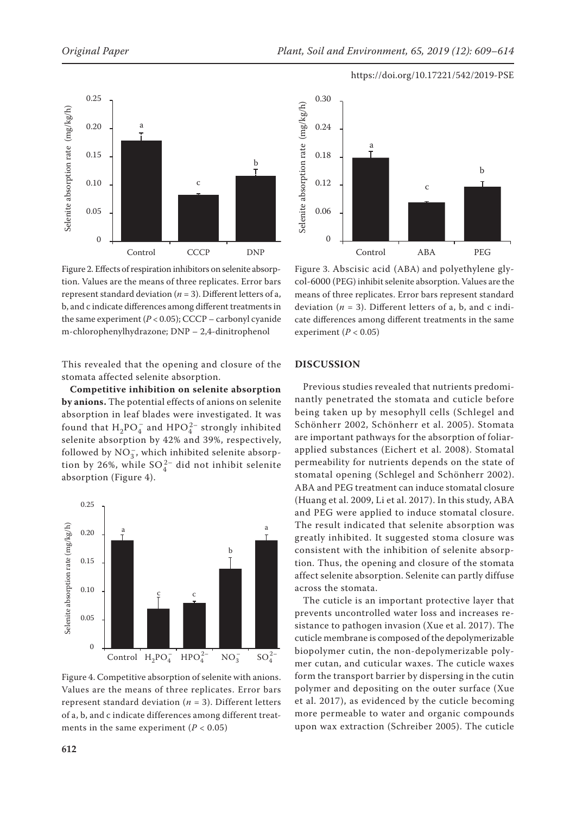

Figure 2. Effects of respiration inhibitors on selenite absorption. Values are the means of three replicates. Error bars represent standard deviation ( $n = 3$ ). Different letters of a, b, and c indicate differences among different treatments in the same experiment  $(P < 0.05)$ ; CCCP – carbonyl cyanide m-chlorophenylhydrazone; DNP – 2,4-dinitrophenol

This revealed that the opening and closure of the stomata affected selenite absorption.

**Competitive inhibition on selenite absorption by anions.** The potential effects of anions on selenite absorption in leaf blades were investigated. It was found that  $H_2PO_4^-$  and  $HPO_4^{2-}$  strongly inhibited selenite absorption by 42% and 39%, respectively, followed by  $NO_3^-$ , which inhibited selenite absorption by 26%, while  $SO_4^{2-}$  did not inhibit selenite absorption (Figure 4).



Figure 4. Competitive absorption of selenite with anions. Values are the means of three replicates. Error bars represent standard deviation ( $n = 3$ ). Different letters of a, b, and c indicate differences among different treatments in the same experiment  $(P < 0.05)$ 



Figure 3. Abscisic acid (ABA) and polyethylene glycol-6000 (PEG) inhibit selenite absorption. Values are the means of three replicates. Error bars represent standard deviation  $(n = 3)$ . Different letters of a, b, and c indicate differences among different treatments in the same experiment ( $P < 0.05$ )

# **DISCUSSION**

Previous studies revealed that nutrients predominantly penetrated the stomata and cuticle before being taken up by mesophyll cells (Schlegel and Schönherr 2002, Schönherr et al. 2005). Stomata are important pathways for the absorption of foliarapplied substances (Eichert et al. 2008). Stomatal permeability for nutrients depends on the state of stomatal opening (Schlegel and Schönherr 2002). ABA and PEG treatment can induce stomatal closure (Huang et al. 2009, Li et al. 2017). In this study, ABA and PEG were applied to induce stomatal closure. The result indicated that selenite absorption was greatly inhibited. It suggested stoma closure was consistent with the inhibition of selenite absorption. Thus, the opening and closure of the stomata affect selenite absorption. Selenite can partly diffuse across the stomata.

The cuticle is an important protective layer that prevents uncontrolled water loss and increases resistance to pathogen invasion (Xue et al. 2017). The cuticle membrane is composed of the depolymerizable biopolymer cutin, the non-depolymerizable polymer cutan, and cuticular waxes. The cuticle waxes form the transport barrier by dispersing in the cutin polymer and depositing on the outer surface (Xue et al. 2017), as evidenced by the cuticle becoming more permeable to water and organic compounds upon wax extraction (Schreiber 2005). The cuticle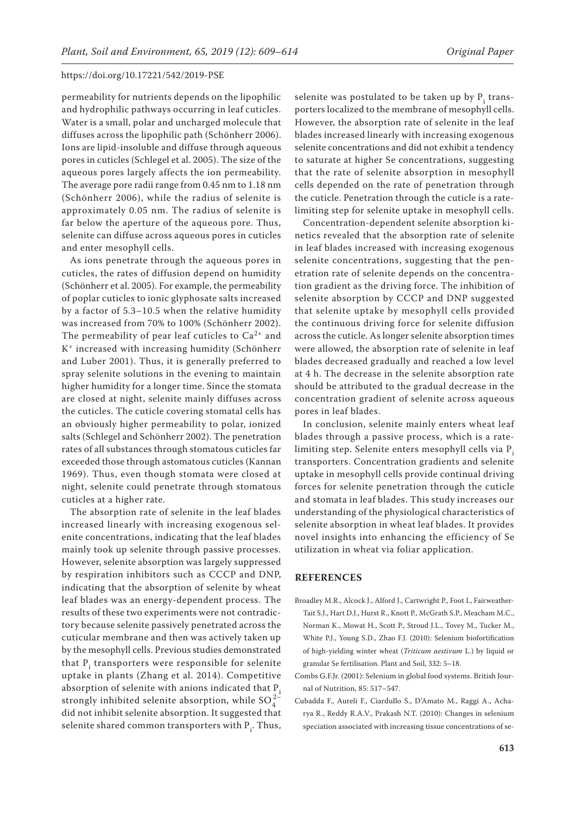permeability for nutrients depends on the lipophilic and hydrophilic pathways occurring in leaf cuticles. Water is a small, polar and uncharged molecule that diffuses across the lipophilic path (Schönherr 2006). Ions are lipid-insoluble and diffuse through aqueous pores in cuticles (Schlegel et al. 2005). The size of the aqueous pores largely affects the ion permeability. The average pore radii range from 0.45 nm to 1.18 nm (Schönherr 2006), while the radius of selenite is approximately 0.05 nm. The radius of selenite is far below the aperture of the aqueous pore. Thus, selenite can diffuse across aqueous pores in cuticles and enter mesophyll cells.

As ions penetrate through the aqueous pores in cuticles, the rates of diffusion depend on humidity (Schönherr et al. 2005). For example, the permeability of poplar cuticles to ionic glyphosate salts increased by a factor of 5.3–10.5 when the relative humidity was increased from 70% to 100% (Schönherr 2002). The permeability of pear leaf cuticles to  $Ca^{2+}$  and K+ increased with increasing humidity (Schönherr and Luber 2001). Thus, it is generally preferred to spray selenite solutions in the evening to maintain higher humidity for a longer time. Since the stomata are closed at night, selenite mainly diffuses across the cuticles. The cuticle covering stomatal cells has an obviously higher permeability to polar, ionized salts (Schlegel and Schönherr 2002). The penetration rates of all substances through stomatous cuticles far exceeded those through astomatous cuticles (Kannan 1969). Thus, even though stomata were closed at night, selenite could penetrate through stomatous cuticles at a higher rate.

The absorption rate of selenite in the leaf blades increased linearly with increasing exogenous selenite concentrations, indicating that the leaf blades mainly took up selenite through passive processes. However, selenite absorption was largely suppressed by respiration inhibitors such as CCCP and DNP, indicating that the absorption of selenite by wheat leaf blades was an energy-dependent process. The results of these two experiments were not contradictory because selenite passively penetrated across the cuticular membrane and then was actively taken up by the mesophyll cells. Previous studies demonstrated that  $P_i$  transporters were responsible for selenite uptake in plants (Zhang et al. 2014). Competitive absorption of selenite with anions indicated that  $P_i$ strongly inhibited selenite absorption, while  $SO_4^{2-}$ did not inhibit selenite absorption. It suggested that selenite shared common transporters with P<sub>i</sub>. Thus,

selenite was postulated to be taken up by  $P_i$  transporters localized to the membrane of mesophyll cells. However, the absorption rate of selenite in the leaf blades increased linearly with increasing exogenous selenite concentrations and did not exhibit a tendency to saturate at higher Se concentrations, suggesting that the rate of selenite absorption in mesophyll cells depended on the rate of penetration through the cuticle. Penetration through the cuticle is a ratelimiting step for selenite uptake in mesophyll cells.

Concentration-dependent selenite absorption kinetics revealed that the absorption rate of selenite in leaf blades increased with increasing exogenous selenite concentrations, suggesting that the penetration rate of selenite depends on the concentration gradient as the driving force. The inhibition of selenite absorption by CCCP and DNP suggested that selenite uptake by mesophyll cells provided the continuous driving force for selenite diffusion across the cuticle. As longer selenite absorption times were allowed, the absorption rate of selenite in leaf blades decreased gradually and reached a low level at 4 h. The decrease in the selenite absorption rate should be attributed to the gradual decrease in the concentration gradient of selenite across aqueous pores in leaf blades.

In conclusion, selenite mainly enters wheat leaf blades through a passive process, which is a ratelimiting step. Selenite enters mesophyll cells via P<sub>i</sub> transporters. Concentration gradients and selenite uptake in mesophyll cells provide continual driving forces for selenite penetration through the cuticle and stomata in leaf blades. This study increases our understanding of the physiological characteristics of selenite absorption in wheat leaf blades. It provides novel insights into enhancing the efficiency of Se utilization in wheat via foliar application.

# **References**

- Broadley M.R., Alcock J., Alford J., Cartwright P., Foot I., Fairweather-Tait S.J., Hart D.J., Hurst R., Knott P., McGrath S.P., Meacham M.C., Norman K., Mowat H., Scott P., Stroud J.L., Tovey M., Tucker M., White P.J., Young S.D., Zhao F.J. (2010): Selenium biofortification of high-yielding winter wheat (*Triticum aestivum* L.) by liquid or granular Se fertilisation. Plant and Soil, 332: 5–18.
- Combs G.F.Jr. (2001): Selenium in global food systems. British Journal of Nutrition, 85: 517–547.
- Cubadda F., Aureli F., Ciardullo S., D'Amato M., Raggi A., Acharya R., Reddy R.A.V., Prakash N.T. (2010): Changes in selenium speciation associated with increasing tissue concentrations of se-